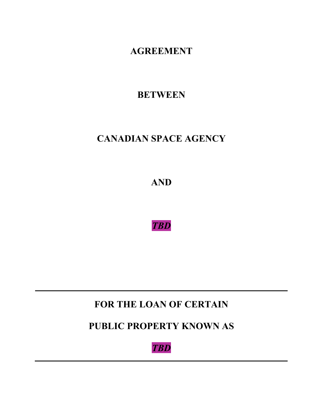**AGREEMENT**

**BETWEEN**

# **CANADIAN SPACE AGENCY**

**AND**

*TBD*

**FOR THE LOAN OF CERTAIN**

**PUBLIC PROPERTY KNOWN AS**

*TBD*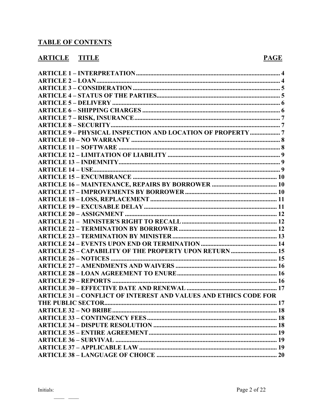# **TABLE OF CONTENTS**

# **ARTICLE TITLE**

#### **PAGE**

| <b>ARTICLE 9 - PHYSICAL INSPECTION AND LOCATION OF PROPERTY 7</b>       |  |
|-------------------------------------------------------------------------|--|
|                                                                         |  |
|                                                                         |  |
|                                                                         |  |
|                                                                         |  |
|                                                                         |  |
|                                                                         |  |
|                                                                         |  |
|                                                                         |  |
|                                                                         |  |
|                                                                         |  |
|                                                                         |  |
|                                                                         |  |
|                                                                         |  |
|                                                                         |  |
|                                                                         |  |
| <b>ARTICLE 25 - CAPABILITY OF THE PROPERTY UPON RETURN  15</b>          |  |
|                                                                         |  |
|                                                                         |  |
|                                                                         |  |
|                                                                         |  |
|                                                                         |  |
| <b>ARTICLE 31 – CONFLICT OF INTEREST AND VALUES AND ETHICS CODE FOR</b> |  |
|                                                                         |  |
|                                                                         |  |
|                                                                         |  |
|                                                                         |  |
|                                                                         |  |
|                                                                         |  |
|                                                                         |  |
|                                                                         |  |
|                                                                         |  |

 $\overline{\phantom{0}}$ 

 $\overline{\phantom{a}}$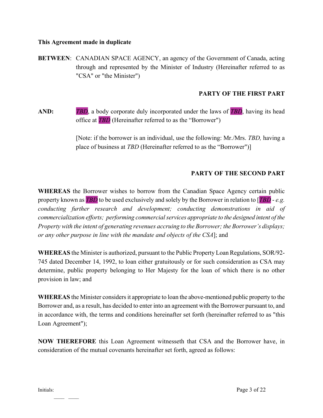#### **This Agreement made in duplicate**

**BETWEEN:** CANADIAN SPACE AGENCY, an agency of the Government of Canada, acting through and represented by the Minister of Industry (Hereinafter referred to as "CSA" or "the Minister")

#### **PARTY OF THE FIRST PART**

**AND:** *TBD*, a body corporate duly incorporated under the laws of *TBD*, having its head office at *TBD* (Hereinafter referred to as the "Borrower")

> [Note: if the borrower is an individual, use the following: Mr./Mrs. *TBD,* having a place of business at *TBD* (Hereinafter referred to as the "Borrower")]

#### **PARTY OF THE SECOND PART**

**WHEREAS** the Borrower wishes to borrow from the Canadian Space Agency certain public property known as *TBD* to be used exclusively and solely by the Borrower in relation to [*TBD* - *e.g. conducting further research and development; conducting demonstrations in aid of commercialization efforts; performing commercial services appropriate to the designed intent of the Property with the intent of generating revenues accruing to the Borrower; the Borrower's displays; or any other purpose in line with the mandate and objects of the CSA*]; and

**WHEREAS** the Minister is authorized, pursuant to the Public Property Loan Regulations, SOR/92- 745 dated December 14, 1992, to loan either gratuitously or for such consideration as CSA may determine, public property belonging to Her Majesty for the loan of which there is no other provision in law; and

**WHEREAS** the Minister considers it appropriate to loan the above-mentioned public property to the Borrower and, as a result, has decided to enter into an agreement with the Borrower pursuant to, and in accordance with, the terms and conditions hereinafter set forth (hereinafter referred to as "this Loan Agreement");

**NOW THEREFORE** this Loan Agreement witnesseth that CSA and the Borrower have, in consideration of the mutual covenants hereinafter set forth, agreed as follows: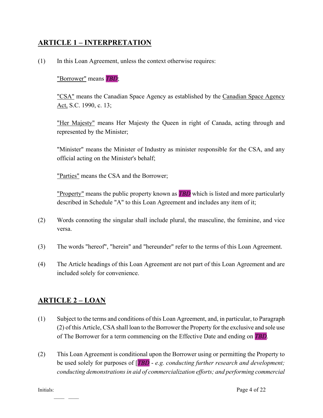### <span id="page-3-0"></span>**ARTICLE 1 – INTERPRETATION**

(1) In this Loan Agreement, unless the context otherwise requires:

#### "Borrower" means *TBD*;

"CSA" means the Canadian Space Agency as established by the Canadian Space Agency Act, S.C. 1990, c. 13;

"Her Majesty" means Her Majesty the Queen in right of Canada, acting through and represented by the Minister;

"Minister" means the Minister of Industry as minister responsible for the CSA, and any official acting on the Minister's behalf;

"Parties" means the CSA and the Borrower;

"Property" means the public property known as *TBD* which is listed and more particularly described in Schedule "A" to this Loan Agreement and includes any item of it;

- (2) Words connoting the singular shall include plural, the masculine, the feminine, and vice versa.
- (3) The words "hereof", "herein" and "hereunder" refer to the terms of this Loan Agreement.
- (4) The Article headings of this Loan Agreement are not part of this Loan Agreement and are included solely for convenience.

#### <span id="page-3-1"></span>**ARTICLE 2 – LOAN**

- (1) Subject to the terms and conditions of this Loan Agreement, and, in particular, to Paragraph (2) of this Article, CSA shall loan to the Borrower the Property for the exclusive and sole use of The Borrower for a term commencing on the Effective Date and ending on *TBD*.
- (2) This Loan Agreement is conditional upon the Borrower using or permitting the Property to be used solely for purposes of [*TBD* - *e.g. conducting further research and development; conducting demonstrations in aid of commercialization efforts; and performing commercial*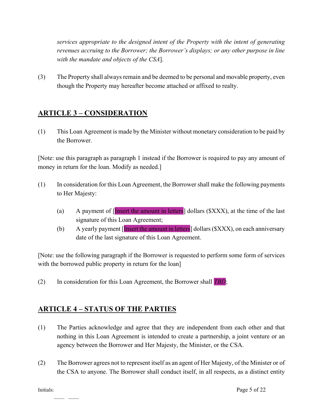*services appropriate to the designed intent of the Property with the intent of generating revenues accruing to the Borrower; the Borrower's displays; or any other purpose in line with the mandate and objects of the CSA*].

(3) The Property shall always remain and be deemed to be personal and movable property, even though the Property may hereafter become attached or affixed to realty.

#### <span id="page-4-0"></span>**ARTICLE 3 – CONSIDERATION**

(1) This Loan Agreement is made by the Minister without monetary consideration to be paid by the Borrower.

[Note: use this paragraph as paragraph 1 instead if the Borrower is required to pay any amount of money in return for the loan. Modify as needed.

- (1) In consideration for this Loan Agreement, the Borrower shall make the following payments to Her Majesty:
	- (a) A payment of [Insert the amount in letters] dollars (\$XXX), at the time of the last signature of this Loan Agreement;
	- (b) A yearly payment [Insert the amount in letters] dollars (\$XXX), on each anniversary date of the last signature of this Loan Agreement.

[Note: use the following paragraph if the Borrower is requested to perform some form of services with the borrowed public property in return for the loan]

(2) In consideration for this Loan Agreement, the Borrower shall *TBD*;

#### <span id="page-4-1"></span>**ARTICLE 4 – STATUS OF THE PARTIES**

- (1) The Parties acknowledge and agree that they are independent from each other and that nothing in this Loan Agreement is intended to create a partnership, a joint venture or an agency between the Borrower and Her Majesty, the Minister, or the CSA.
- (2) The Borrower agrees not to represent itself as an agent of Her Majesty, of the Minister or of the CSA to anyone. The Borrower shall conduct itself, in all respects, as a distinct entity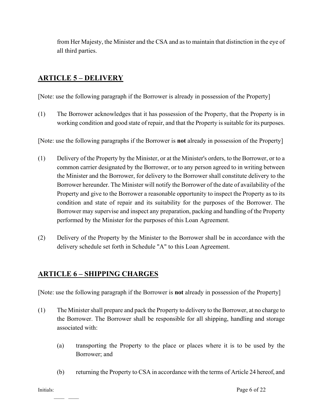from Her Majesty, the Minister and the CSA and as to maintain that distinction in the eye of all third parties.

## <span id="page-5-0"></span>**ARTICLE 5 – DELIVERY**

[Note: use the following paragraph if the Borrower is already in possession of the Property]

(1) The Borrower acknowledges that it has possession of the Property, that the Property is in working condition and good state of repair, and that the Property is suitable for its purposes.

[Note: use the following paragraphs if the Borrower is **not** already in possession of the Property]

- (1) Delivery of the Property by the Minister, or at the Minister's orders, to the Borrower, or to a common carrier designated by the Borrower, or to any person agreed to in writing between the Minister and the Borrower, for delivery to the Borrower shall constitute delivery to the Borrower hereunder. The Minister will notify the Borrower of the date of availability of the Property and give to the Borrower a reasonable opportunity to inspect the Property as to its condition and state of repair and its suitability for the purposes of the Borrower. The Borrower may supervise and inspect any preparation, packing and handling of the Property performed by the Minister for the purposes of this Loan Agreement.
- (2) Delivery of the Property by the Minister to the Borrower shall be in accordance with the delivery schedule set forth in Schedule "A" to this Loan Agreement.

## <span id="page-5-1"></span>**ARTICLE 6 – SHIPPING CHARGES**

[Note: use the following paragraph if the Borrower is **not** already in possession of the Property]

- (1) The Minister shall prepare and pack the Property to delivery to the Borrower, at no charge to the Borrower. The Borrower shall be responsible for all shipping, handling and storage associated with:
	- (a) transporting the Property to the place or places where it is to be used by the Borrower; and
	- (b) returning the Property to CSA in accordance with the terms of Article 24 hereof, and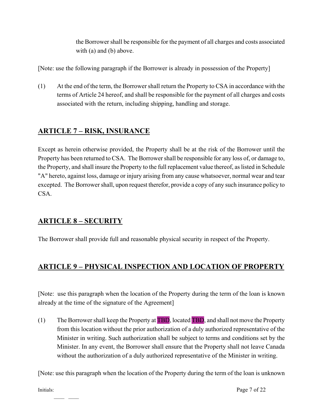the Borrower shall be responsible for the payment of all charges and costs associated with (a) and (b) above.

[Note: use the following paragraph if the Borrower is already in possession of the Property]

(1) At the end of the term, the Borrower shall return the Property to CSA in accordance with the terms of Article 24 hereof, and shall be responsible for the payment of all charges and costs associated with the return, including shipping, handling and storage.

# <span id="page-6-0"></span>**ARTICLE 7 – RISK, INSURANCE**

Except as herein otherwise provided, the Property shall be at the risk of the Borrower until the Property has been returned to CSA. The Borrower shall be responsible for any loss of, or damage to, the Property, and shall insure the Property to the full replacement value thereof, as listed in Schedule "A" hereto, against loss, damage or injury arising from any cause whatsoever, normal wear and tear excepted. The Borrower shall, upon request therefor, provide a copy of any such insurance policy to CSA.

## <span id="page-6-1"></span>**ARTICLE 8 – SECURITY**

The Borrower shall provide full and reasonable physical security in respect of the Property.

# <span id="page-6-2"></span>**ARTICLE 9 – PHYSICAL INSPECTION AND LOCATION OF PROPERTY**

[Note: use this paragraph when the location of the Property during the term of the loan is known already at the time of the signature of the Agreement]

(1) The Borrower shall keep the Property at TBD, located TBD, and shall not move the Property from this location without the prior authorization of a duly authorized representative of the Minister in writing. Such authorization shall be subject to terms and conditions set by the Minister. In any event, the Borrower shall ensure that the Property shall not leave Canada without the authorization of a duly authorized representative of the Minister in writing.

[Note: use this paragraph when the location of the Property during the term of the loan is unknown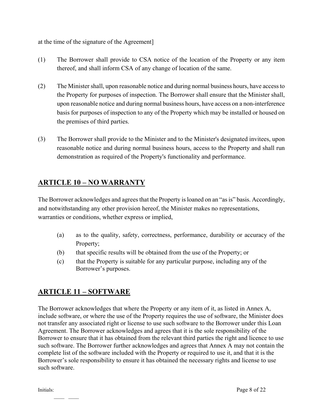at the time of the signature of the Agreement]

- (1) The Borrower shall provide to CSA notice of the location of the Property or any item thereof, and shall inform CSA of any change of location of the same.
- (2) The Minister shall, upon reasonable notice and during normal business hours, have access to the Property for purposes of inspection. The Borrower shall ensure that the Minister shall, upon reasonable notice and during normal business hours, have access on a non-interference basis for purposes of inspection to any of the Property which may be installed or housed on the premises of third parties.
- (3) The Borrower shall provide to the Minister and to the Minister's designated invitees, upon reasonable notice and during normal business hours, access to the Property and shall run demonstration as required of the Property's functionality and performance.

#### <span id="page-7-0"></span>**ARTICLE 10 – NO WARRANTY**

The Borrower acknowledges and agrees that the Property is loaned on an "as is" basis. Accordingly, and notwithstanding any other provision hereof, the Minister makes no representations, warranties or conditions, whether express or implied,

- (a) as to the quality, safety, correctness, performance, durability or accuracy of the Property;
- (b) that specific results will be obtained from the use of the Property; or
- (c) that the Property is suitable for any particular purpose, including any of the Borrower's purposes.

#### <span id="page-7-1"></span>**ARTICLE 11 – SOFTWARE**

The Borrower acknowledges that where the Property or any item of it, as listed in Annex A, include software, or where the use of the Property requires the use of software, the Minister does not transfer any associated right or license to use such software to the Borrower under this Loan Agreement. The Borrower acknowledges and agrees that it is the sole responsibility of the Borrower to ensure that it has obtained from the relevant third parties the right and licence to use such software. The Borrower further acknowledges and agrees that Annex A may not contain the complete list of the software included with the Property or required to use it, and that it is the Borrower's sole responsibility to ensure it has obtained the necessary rights and license to use such software.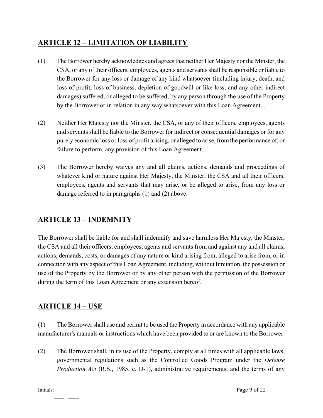# <span id="page-8-0"></span>**ARTICLE 12 – LIMITATION OF LIABILITY**

- (1) The Borrower hereby acknowledges and agrees that neither Her Majesty nor the Minster, the CSA, or any of their officers, employees, agents and servants shall be responsible or liable to the Borrower for any loss or damage of any kind whatsoever (including injury, death, and loss of profit, loss of business, depletion of goodwill or like loss, and any other indirect damages) suffered, or alleged to be suffered, by any person through the use of the Property by the Borrower or in relation in any way whatsoever with this Loan Agreement. .
- (2) Neither Her Majesty nor the Minster, the CSA, or any of their officers, employees, agents and servants shall be liable to the Borrower for indirect or consequential damages or for any purely economic loss or loss of profit arising, or alleged to arise, from the performance of, or failure to perform, any provision of this Loan Agreement.
- (3) The Borrower hereby waives any and all claims, actions, demands and proceedings of whatever kind or nature against Her Majesty, the Minster, the CSA and all their officers, employees, agents and servants that may arise, or be alleged to arise, from any loss or damage referred to in paragraphs (1) and (2) above.

## <span id="page-8-1"></span>**ARTICLE 13 – INDEMNITY**

The Borrower shall be liable for and shall indemnify and save harmless Her Majesty, the Minster, the CSA and all their officers, employees, agents and servants from and against any and all claims, actions, demands, costs, or damages of any nature or kind arising from, alleged to arise from, or in connection with any aspect of this Loan Agreement, including, without limitation, the possession or use of the Property by the Borrower or by any other person with the permission of the Borrower during the term of this Loan Agreement or any extension hereof.

## <span id="page-8-2"></span>**ARTICLE 14 – USE**

(1) The Borrower shall use and permit to be used the Property in accordance with any applicable manufacturer's manuals or instructions which have been provided to or are known to the Borrower.

(2) The Borrower shall, in its use of the Property, comply at all times with all applicable laws, governmental regulations such as the Controlled Goods Program under the *Defense Production Act* (R.S., 1985, c. D-1), administrative requirements, and the terms of any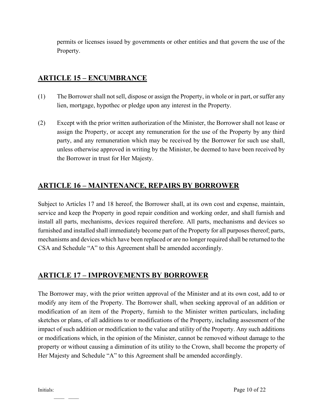permits or licenses issued by governments or other entities and that govern the use of the Property.

# <span id="page-9-0"></span>**ARTICLE 15 – ENCUMBRANCE**

- (1) The Borrower shall not sell, dispose or assign the Property, in whole or in part, or suffer any lien, mortgage, hypothec or pledge upon any interest in the Property.
- (2) Except with the prior written authorization of the Minister, the Borrower shall not lease or assign the Property, or accept any remuneration for the use of the Property by any third party, and any remuneration which may be received by the Borrower for such use shall, unless otherwise approved in writing by the Minister, be deemed to have been received by the Borrower in trust for Her Majesty.

# <span id="page-9-1"></span>**ARTICLE 16 – MAINTENANCE, REPAIRS BY BORROWER**

Subject to Articles 17 and 18 hereof, the Borrower shall, at its own cost and expense, maintain, service and keep the Property in good repair condition and working order, and shall furnish and install all parts, mechanisms, devices required therefore. All parts, mechanisms and devices so furnished and installed shall immediately become part of the Property for all purposes thereof; parts, mechanisms and devices which have been replaced or are no longer required shall be returned to the CSA and Schedule "A" to this Agreement shall be amended accordingly.

# <span id="page-9-2"></span>**ARTICLE 17 – IMPROVEMENTS BY BORROWER**

The Borrower may, with the prior written approval of the Minister and at its own cost, add to or modify any item of the Property. The Borrower shall, when seeking approval of an addition or modification of an item of the Property, furnish to the Minister written particulars, including sketches or plans, of all additions to or modifications of the Property, including assessment of the impact of such addition or modification to the value and utility of the Property. Any such additions or modifications which, in the opinion of the Minister, cannot be removed without damage to the property or without causing a diminution of its utility to the Crown, shall become the property of Her Majesty and Schedule "A" to this Agreement shall be amended accordingly.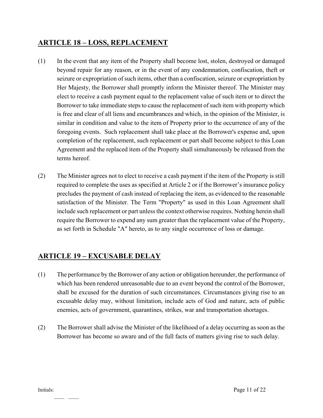#### <span id="page-10-0"></span>**ARTICLE 18 – LOSS, REPLACEMENT**

- (1) In the event that any item of the Property shall become lost, stolen, destroyed or damaged beyond repair for any reason, or in the event of any condemnation, confiscation, theft or seizure or expropriation of such items, other than a confiscation, seizure or expropriation by Her Majesty, the Borrower shall promptly inform the Minister thereof. The Minister may elect to receive a cash payment equal to the replacement value of such item or to direct the Borrower to take immediate steps to cause the replacement of such item with property which is free and clear of all liens and encumbrances and which, in the opinion of the Minister, is similar in condition and value to the item of Property prior to the occurrence of any of the foregoing events. Such replacement shall take place at the Borrower's expense and, upon completion of the replacement, such replacement or part shall become subject to this Loan Agreement and the replaced item of the Property shall simultaneously be released from the terms hereof.
- (2) The Minister agrees not to elect to receive a cash payment if the item of the Property is still required to complete the uses as specified at Article 2 or if the Borrower's insurance policy precludes the payment of cash instead of replacing the item, as evidenced to the reasonable satisfaction of the Minister. The Term "Property" as used in this Loan Agreement shall include such replacement or part unless the context otherwise requires. Nothing herein shall require the Borrower to expend any sum greater than the replacement value of the Property, as set forth in Schedule "A" hereto, as to any single occurrence of loss or damage.

## <span id="page-10-1"></span>**ARTICLE 19 – EXCUSABLE DELAY**

- (1) The performance by the Borrower of any action or obligation hereunder, the performance of which has been rendered unreasonable due to an event beyond the control of the Borrower, shall be excused for the duration of such circumstances. Circumstances giving rise to an excusable delay may, without limitation, include acts of God and nature, acts of public enemies, acts of government, quarantines, strikes, war and transportation shortages.
- (2) The Borrower shall advise the Minister of the likelihood of a delay occurring as soon as the Borrower has become so aware and of the full facts of matters giving rise to such delay.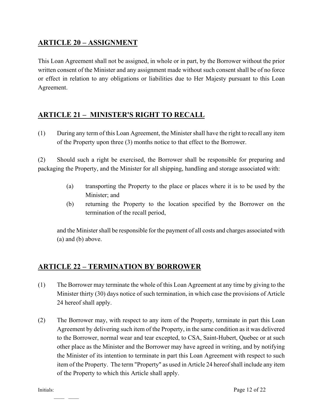## <span id="page-11-0"></span>**ARTICLE 20 – ASSIGNMENT**

This Loan Agreement shall not be assigned, in whole or in part, by the Borrower without the prior written consent of the Minister and any assignment made without such consent shall be of no force or effect in relation to any obligations or liabilities due to Her Majesty pursuant to this Loan Agreement.

## <span id="page-11-1"></span>**ARTICLE 21 – MINISTER'S RIGHT TO RECALL**

(1) During any term of this Loan Agreement, the Minister shall have the right to recall any item of the Property upon three (3) months notice to that effect to the Borrower.

(2) Should such a right be exercised, the Borrower shall be responsible for preparing and packaging the Property, and the Minister for all shipping, handling and storage associated with:

- (a) transporting the Property to the place or places where it is to be used by the Minister; and
- (b) returning the Property to the location specified by the Borrower on the termination of the recall period,

and the Minister shall be responsible for the payment of all costs and charges associated with (a) and (b) above.

## <span id="page-11-2"></span>**ARTICLE 22 – TERMINATION BY BORROWER**

- (1) The Borrower may terminate the whole of this Loan Agreement at any time by giving to the Minister thirty (30) days notice of such termination, in which case the provisions of Article 24 hereof shall apply.
- (2) The Borrower may, with respect to any item of the Property, terminate in part this Loan Agreement by delivering such item of the Property, in the same condition as it was delivered to the Borrower, normal wear and tear excepted, to CSA, Saint-Hubert, Quebec or at such other place as the Minister and the Borrower may have agreed in writing, and by notifying the Minister of its intention to terminate in part this Loan Agreement with respect to such item of the Property. The term "Property" as used in Article 24 hereof shall include any item of the Property to which this Article shall apply.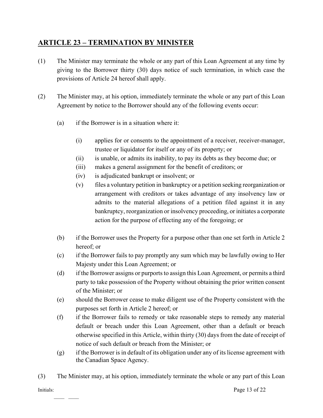#### <span id="page-12-0"></span>**ARTICLE 23 – TERMINATION BY MINISTER**

- (1) The Minister may terminate the whole or any part of this Loan Agreement at any time by giving to the Borrower thirty (30) days notice of such termination, in which case the provisions of Article 24 hereof shall apply.
- (2) The Minister may, at his option, immediately terminate the whole or any part of this Loan Agreement by notice to the Borrower should any of the following events occur:
	- (a) if the Borrower is in a situation where it:
		- (i) applies for or consents to the appointment of a receiver, receiver-manager, trustee or liquidator for itself or any of its property; or
		- (ii) is unable, or admits its inability, to pay its debts as they become due; or
		- (iii) makes a general assignment for the benefit of creditors; or
		- (iv) is adjudicated bankrupt or insolvent; or
		- (v) files a voluntary petition in bankruptcy or a petition seeking reorganization or arrangement with creditors or takes advantage of any insolvency law or admits to the material allegations of a petition filed against it in any bankruptcy, reorganization or insolvency proceeding, or initiates a corporate action for the purpose of effecting any of the foregoing; or
	- (b) if the Borrower uses the Property for a purpose other than one set forth in Article 2 hereof; or
	- (c) if the Borrower fails to pay promptly any sum which may be lawfully owing to Her Majesty under this Loan Agreement; or
	- (d) if the Borrower assigns or purports to assign this Loan Agreement, or permits a third party to take possession of the Property without obtaining the prior written consent of the Minister; or
	- (e) should the Borrower cease to make diligent use of the Property consistent with the purposes set forth in Article 2 hereof; or
	- (f) if the Borrower fails to remedy or take reasonable steps to remedy any material default or breach under this Loan Agreement, other than a default or breach otherwise specified in this Article, within thirty (30) days from the date of receipt of notice of such default or breach from the Minister; or
	- (g) if the Borrower is in default of its obligation under any of its license agreement with the Canadian Space Agency.
- (3) The Minister may, at his option, immediately terminate the whole or any part of this Loan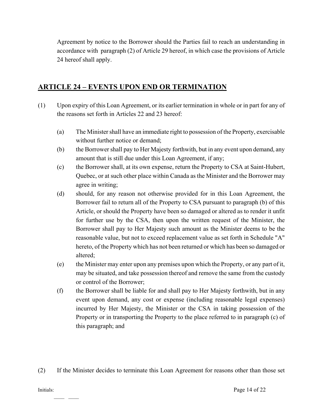Agreement by notice to the Borrower should the Parties fail to reach an understanding in accordance with paragraph (2) of Article 29 hereof, in which case the provisions of Article 24 hereof shall apply.

#### <span id="page-13-0"></span>**ARTICLE 24 – EVENTS UPON END OR TERMINATION**

- (1) Upon expiry of this Loan Agreement, or its earlier termination in whole or in part for any of the reasons set forth in Articles 22 and 23 hereof:
	- (a) The Minister shall have an immediate right to possession of the Property, exercisable without further notice or demand;
	- (b) the Borrower shall pay to Her Majesty forthwith, but in any event upon demand, any amount that is still due under this Loan Agreement, if any;
	- (c) the Borrower shall, at its own expense, return the Property to CSA at Saint-Hubert, Quebec, or at such other place within Canada as the Minister and the Borrower may agree in writing;
	- (d) should, for any reason not otherwise provided for in this Loan Agreement, the Borrower fail to return all of the Property to CSA pursuant to paragraph (b) of this Article, or should the Property have been so damaged or altered as to render it unfit for further use by the CSA, then upon the written request of the Minister, the Borrower shall pay to Her Majesty such amount as the Minister deems to be the reasonable value, but not to exceed replacement value as set forth in Schedule "A" hereto, of the Property which has not been returned or which has been so damaged or altered;
	- (e) the Minister may enter upon any premises upon which the Property, or any part of it, may be situated, and take possession thereof and remove the same from the custody or control of the Borrower;
	- (f) the Borrower shall be liable for and shall pay to Her Majesty forthwith, but in any event upon demand, any cost or expense (including reasonable legal expenses) incurred by Her Majesty, the Minister or the CSA in taking possession of the Property or in transporting the Property to the place referred to in paragraph (c) of this paragraph; and
- (2) If the Minister decides to terminate this Loan Agreement for reasons other than those set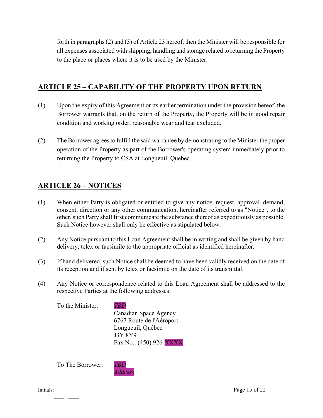forth in paragraphs (2) and (3) of Article 23 hereof, then the Minister will be responsible for all expenses associated with shipping, handling and storage related to returning the Property to the place or places where it is to be used by the Minister.

#### <span id="page-14-0"></span>**ARTICLE 25 – CAPABILITY OF THE PROPERTY UPON RETURN**

- (1) Upon the expiry of this Agreement or its earlier termination under the provision hereof, the Borrower warrants that, on the return of the Property, the Property will be in good repair condition and working order, reasonable wear and tear excluded.
- (2) The Borrower agrees to fulfill the said warrantee by demonstrating to the Minister the proper operation of the Property as part of the Borrower's operating system immediately prior to returning the Property to CSA at Longueuil, Quebec.

#### <span id="page-14-1"></span>**ARTICLE 26 – NOTICES**

- (1) When either Party is obligated or entitled to give any notice, request, approval, demand, consent, direction or any other communication, hereinafter referred to as "Notice", to the other, such Party shall first communicate the substance thereof as expeditiously as possible. Such Notice however shall only be effective as stipulated below.
- (2) Any Notice pursuant to this Loan Agreement shall be in writing and shall be given by hand delivery, telex or facsimile to the appropriate official as identified hereinafter.
- (3) If hand delivered, such Notice shall be deemed to have been validly received on the date of its reception and if sent by telex or facsimile on the date of its transmittal.
- (4) Any Notice or correspondence related to this Loan Agreement shall be addressed to the respective Parties at the following addresses:

To the Minister: *TBD*

Canadian Space Agency

6767 Route de l'Aéroport Longueuil, Québec J3Y 8Y9 Fax No.: (450) 926-XXXX

To The Borrower: *TBD*

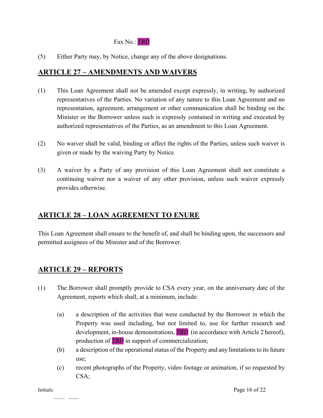#### Fax No.: *TBD*

(5) Either Party may, by Notice, change any of the above designations.

#### <span id="page-15-0"></span>**ARTICLE 27 – AMENDMENTS AND WAIVERS**

- (1) This Loan Agreement shall not be amended except expressly, in writing, by authorized representatives of the Parties. No variation of any nature to this Loan Agreement and no representation, agreement, arrangement or other communication shall be binding on the Minister or the Borrower unless such is expressly contained in writing and executed by authorized representatives of the Parties, as an amendment to this Loan Agreement.
- (2) No waiver shall be valid, binding or affect the rights of the Parties, unless such waiver is given or made by the waiving Party by Notice.
- (3) A waiver by a Party of any provision of this Loan Agreement shall not constitute a continuing waiver nor a waiver of any other provision, unless such waiver expressly provides otherwise.

#### <span id="page-15-1"></span>**ARTICLE 28 – LOAN AGREEMENT TO ENURE**

This Loan Agreement shall ensure to the benefit of, and shall be binding upon, the successors and permitted assignees of the Minister and of the Borrower.

#### <span id="page-15-2"></span>**ARTICLE 29 – REPORTS**

- (1) The Borrower shall promptly provide to CSA every year, on the anniversary date of the Agreement, reports which shall, at a minimum, include:
	- (a) a description of the activities that were conducted by the Borrower in which the Property was used including, but not limited to, use for further research and development, in-house demonstrations, **TBD** (in accordance with Article 2 hereof), production of *TBD* in support of commercialization;
	- (b) a description of the operational status of the Property and any limitations to its future use;
	- (c) recent photographs of the Property, video footage or animation, if so requested by CSA;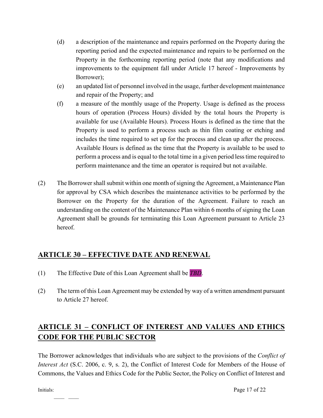- (d) a description of the maintenance and repairs performed on the Property during the reporting period and the expected maintenance and repairs to be performed on the Property in the forthcoming reporting period (note that any modifications and improvements to the equipment fall under Article 17 hereof - Improvements by Borrower);
- (e) an updated list of personnel involved in the usage, further development maintenance and repair of the Property; and
- (f) a measure of the monthly usage of the Property. Usage is defined as the process hours of operation (Process Hours) divided by the total hours the Property is available for use (Available Hours). Process Hours is defined as the time that the Property is used to perform a process such as thin film coating or etching and includes the time required to set up for the process and clean up after the process. Available Hours is defined as the time that the Property is available to be used to perform a process and is equal to the total time in a given period less time required to perform maintenance and the time an operator is required but not available.
- (2) The Borrower shall submit within one month of signing the Agreement, a Maintenance Plan for approval by CSA which describes the maintenance activities to be performed by the Borrower on the Property for the duration of the Agreement. Failure to reach an understanding on the content of the Maintenance Plan within 6 months of signing the Loan Agreement shall be grounds for terminating this Loan Agreement pursuant to Article 23 hereof.

## <span id="page-16-0"></span>**ARTICLE 30 – EFFECTIVE DATE AND RENEWAL**

- (1) The Effective Date of this Loan Agreement shall be *TBD*.
- (2) The term of this Loan Agreement may be extended by way of a written amendment pursuant to Article 27 hereof.

# <span id="page-16-1"></span>**ARTICLE 31 – CONFLICT OF INTEREST AND VALUES AND ETHICS CODE FOR THE PUBLIC SECTOR**

The Borrower acknowledges that individuals who are subject to the provisions of the *Conflict of Interest Act* (S.C. 2006, c. 9, s. 2), the Conflict of Interest Code for Members of the House of Commons, the Values and Ethics Code for the Public Sector, the Policy on Conflict of Interest and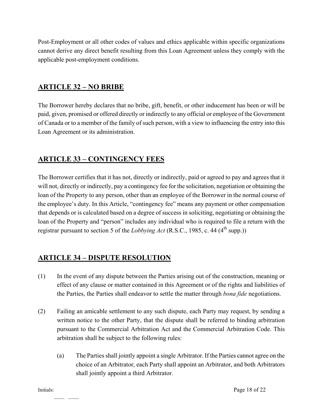Post-Employment or all other codes of values and ethics applicable within specific organizations cannot derive any direct benefit resulting from this Loan Agreement unless they comply with the applicable post-employment conditions.

## <span id="page-17-0"></span>**ARTICLE 32 – NO BRIBE**

The Borrower hereby declares that no bribe, gift, benefit, or other inducement has been or will be paid, given, promised or offered directly or indirectly to any official or employee of the Government of Canada or to a member of the family of such person, with a view to influencing the entry into this Loan Agreement or its administration.

#### <span id="page-17-1"></span>**ARTICLE 33 – CONTINGENCY FEES**

The Borrower certifies that it has not, directly or indirectly, paid or agreed to pay and agrees that it will not, directly or indirectly, pay a contingency fee for the solicitation, negotiation or obtaining the loan of the Property to any person, other than an employee of the Borrower in the normal course of the employee's duty. In this Article, "contingency fee" means any payment or other compensation that depends or is calculated based on a degree of success in soliciting, negotiating or obtaining the loan of the Property and "person" includes any individual who is required to file a return with the registrar pursuant to section 5 of the *Lobbying Act* (R.S.C., 1985, c. 44 (4<sup>th</sup> supp.))

## <span id="page-17-2"></span>**ARTICLE 34 – DISPUTE RESOLUTION**

- (1) In the event of any dispute between the Parties arising out of the construction, meaning or effect of any clause or matter contained in this Agreement or of the rights and liabilities of the Parties, the Parties shall endeavor to settle the matter through *bona fide* negotiations.
- (2) Failing an amicable settlement to any such dispute, each Party may request, by sending a written notice to the other Party, that the dispute shall be referred to binding arbitration pursuant to the Commercial Arbitration Act and the Commercial Arbitration Code. This arbitration shall be subject to the following rules:
	- (a) The Parties shall jointly appoint a single Arbitrator. If the Parties cannot agree on the choice of an Arbitrator, each Party shall appoint an Arbitrator, and both Arbitrators shall jointly appoint a third Arbitrator.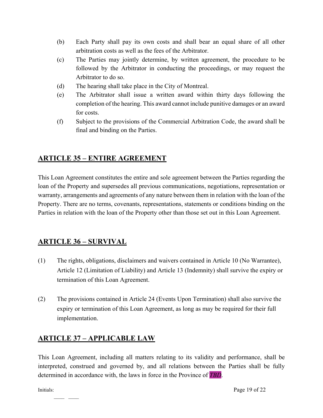- (b) Each Party shall pay its own costs and shall bear an equal share of all other arbitration costs as well as the fees of the Arbitrator.
- (c) The Parties may jointly determine, by written agreement, the procedure to be followed by the Arbitrator in conducting the proceedings, or may request the Arbitrator to do so.
- (d) The hearing shall take place in the City of Montreal.
- (e) The Arbitrator shall issue a written award within thirty days following the completion of the hearing. This award cannot include punitive damages or an award for costs.
- (f) Subject to the provisions of the Commercial Arbitration Code, the award shall be final and binding on the Parties.

#### <span id="page-18-0"></span>**ARTICLE 35 – ENTIRE AGREEMENT**

This Loan Agreement constitutes the entire and sole agreement between the Parties regarding the loan of the Property and supersedes all previous communications, negotiations, representation or warranty, arrangements and agreements of any nature between them in relation with the loan of the Property. There are no terms, covenants, representations, statements or conditions binding on the Parties in relation with the loan of the Property other than those set out in this Loan Agreement.

## <span id="page-18-1"></span>**ARTICLE 36 – SURVIVAL**

- (1) The rights, obligations, disclaimers and waivers contained in Article 10 (No Warrantee), Article 12 (Limitation of Liability) and Article 13 (Indemnity) shall survive the expiry or termination of this Loan Agreement.
- (2) The provisions contained in Article 24 (Events Upon Termination) shall also survive the expiry or termination of this Loan Agreement, as long as may be required for their full implementation.

#### <span id="page-18-2"></span>**ARTICLE 37 – APPLICABLE LAW**

This Loan Agreement, including all matters relating to its validity and performance, shall be interpreted, construed and governed by, and all relations between the Parties shall be fully determined in accordance with, the laws in force in the Province of *TBD*.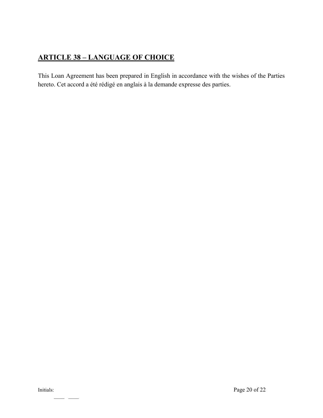# <span id="page-19-0"></span>**ARTICLE 38 – LANGUAGE OF CHOICE**

This Loan Agreement has been prepared in English in accordance with the wishes of the Parties hereto. Cet accord a été rédigé en anglais à la demande expresse des parties.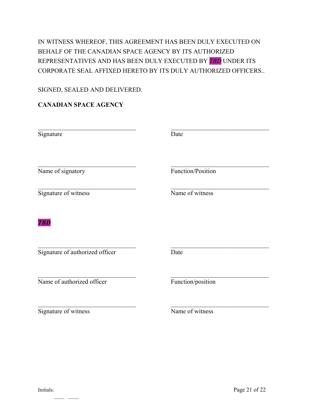## IN WITNESS WHEREOF, THIS AGREEMENT HAS BEEN DULY EXECUTED ON BEHALF OF THE CANADIAN SPACE AGENCY BY ITS AUTHORIZED REPRESENTATIVES AND HAS BEEN DULY EXECUTED BY *TBD* UNDER ITS CORPORATE SEAL AFFIXED HERETO BY ITS DULY AUTHORIZED OFFICERS..

#### SIGNED, SEALED AND DELIVERED.

#### **CANADIAN SPACE AGENCY**

| Signature                       | Date              |
|---------------------------------|-------------------|
| Name of signatory               | Function/Position |
| Signature of witness            | Name of witness   |
| <b>TBD</b>                      |                   |
| Signature of authorized officer | Date              |
| Name of authorized officer      | Function/position |
| Signature of witness            | Name of witness   |